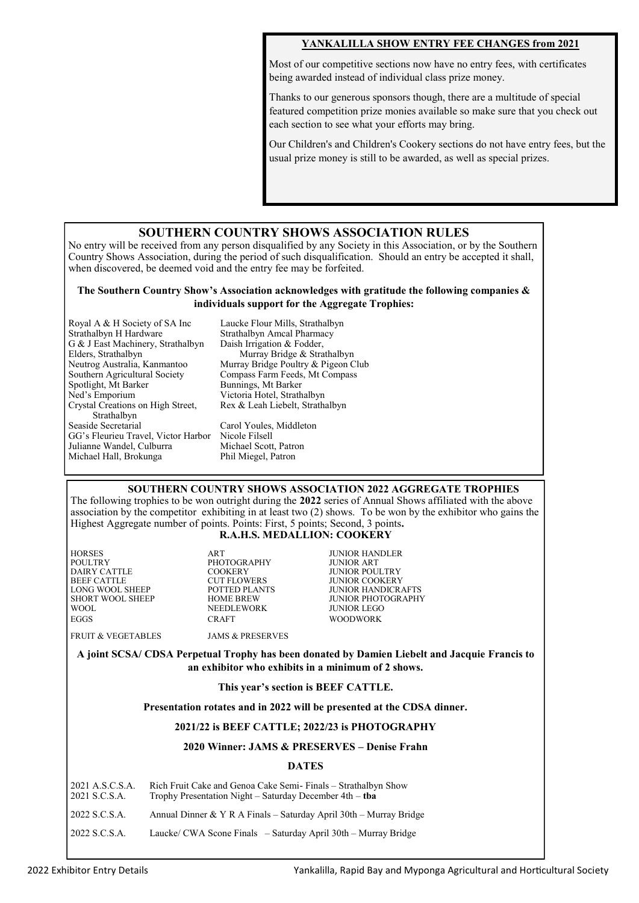# **YANKALILLA SHOW ENTRY FEE CHANGES from 2021**

Most of our competitive sections now have no entry fees, with certificates being awarded instead of individual class prize money.

Thanks to our generous sponsors though, there are a multitude of special featured competition prize monies available so make sure that you check out each section to see what your efforts may bring.

Our Children's and Children's Cookery sections do not have entry fees, but the usual prize money is still to be awarded, as well as special prizes.

# **SOUTHERN COUNTRY SHOWS ASSOCIATION RULES**

No entry will be received from any person disqualified by any Society in this Association, or by the Southern Country Shows Association, during the period of such disqualification. Should an entry be accepted it shall, when discovered, be deemed void and the entry fee may be forfeited.

### **The Southern Country Show's Association acknowledges with gratitude the following companies & individuals support for the Aggregate Trophies:**

| Royal A & H Society of SA Inc       | Lε |
|-------------------------------------|----|
| Strathalbyn H Hardware              | St |
| G & J East Machinery, Strathalbyn   | Di |
| Elders, Strathalbyn                 |    |
| Neutrog Australia, Kanmantoo        | М  |
| Southern Agricultural Society       | C0 |
| Spotlight, Mt Barker                | Βι |
| Ned's Emporium                      | Vi |
| Crystal Creations on High Street,   | Rε |
| Strathalbyn                         |    |
| Seaside Secretarial                 | Сa |
| GG's Fleurieu Travel, Victor Harbor | Ni |
| Julianne Wandel, Culburra           | М  |
| Michael Hall, Brokunga              | Pŀ |
|                                     |    |

aucke Flour Mills, Strathalbyn rathalbyn Amcal Pharmacy aish Irrigation & Fodder, Murray Bridge & Strathalbyn Iurray Bridge Poultry & Pigeon Club ompass Farm Feeds, Mt Compass unnings, Mt Barker ictoria Hotel, Strathalbyn ex & Leah Liebelt, Strathalbyn arol Youles, Middleton icole Filsell lichael Scott, Patron nil Miegel, Patron

**SOUTHERN COUNTRY SHOWS ASSOCIATION 2022 AGGREGATE TROPHIES**

The following trophies to be won outright during the **2022** series of Annual Shows affiliated with the above association by the competitor exhibiting in at least two (2) shows. To be won by the exhibitor who gains the Highest Aggregate number of points. Points: First, 5 points; Second, 3 points**.**

# **R.A.H.S. MEDALLION: COOKERY**

| <b>HORSES</b>      | ART                         | <b>JUNIOR HANDLER</b>     |
|--------------------|-----------------------------|---------------------------|
| POULTRY            | PHOTOGRAPHY                 | <b>JUNIOR ART</b>         |
| DAIRY CATTLE       | <b>COOKERY</b>              | <b>JUNIOR POULTRY</b>     |
| BEEF CATTLE        | <b>CUT FLOWERS</b>          | <b>JUNIOR COOKERY</b>     |
| LONG WOOL SHEEP    | POTTED PLANTS               | <b>JUNIOR HANDICRAFTS</b> |
| SHORT WOOL SHEEP   | <b>HOME BREW</b>            | JUNIOR PHOTOGRAPHY        |
| WOOL               | NEEDLEWORK                  | JUNIOR LEGO               |
| <b>EGGS</b>        | <b>CRAFT</b>                | <b>WOODWORK</b>           |
| FRUIT & VEGETABLES | <b>JAMS &amp; PRESERVES</b> |                           |
|                    |                             |                           |

**A joint SCSA/ CDSA Perpetual Trophy has been donated by Damien Liebelt and Jacquie Francis to an exhibitor who exhibits in a minimum of 2 shows.** 

#### **This year's section is BEEF CATTLE.**

#### **Presentation rotates and in 2022 will be presented at the CDSA dinner.**

### **2021/22 is BEEF CATTLE; 2022/23 is PHOTOGRAPHY**

### **2020 Winner: JAMS & PRESERVES – Denise Frahn**

#### **DATES**

| 2021 A.S.C.S.A.<br>2021 S.C.S.A. | Rich Fruit Cake and Genoa Cake Semi-Finals – Strathalbyn Show<br>Trophy Presentation Night – Saturday December $4th - tha$ |
|----------------------------------|----------------------------------------------------------------------------------------------------------------------------|
| 2022 S.C.S.A.                    | Annual Dinner & Y R A Finals - Saturday April $30th$ - Murray Bridge                                                       |
| 2022 S.C.S.A.                    | Laucke/ CWA Scone Finals – Saturday April 30th – Murray Bridge                                                             |